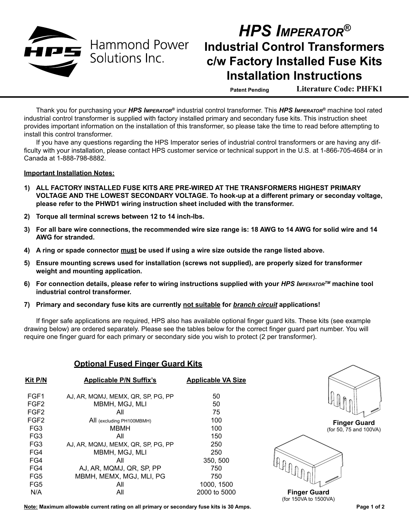

## *HPS Imperator®* **Industrial Control Transformers c/w Factory Installed Fuse Kits Installation Instructions**

**Patent Pending Literature Code: PHFK1**

Thank you for purchasing your *HPS Imperator®* industrial control transformer. This *HPS Imperator®* machine tool rated industrial control transformer is supplied with factory installed primary and secondary fuse kits. This instruction sheet provides important information on the installation of this transformer, so please take the time to read before attempting to install this control transformer.

If you have any questions regarding the HPS Imperator series of industrial control transformers or are having any difficulty with your installation, please contact HPS customer service or technical support in the U.S. at 1-866-705-4684 or in Canada at 1-888-798-8882.

## **Important Installation Notes:**

- **1) ALL FACTORY INSTALLED FUSE KITS ARE PRE-WIRED AT THE TRANSFORMERS HIGHEST PRIMARY VOLTAGE AND THE LOWEST SECONDARY VOLTAGE. To hook-up at a different primary or seconday voltage, please refer to the PHWD1 wiring instruction sheet included with the transformer.**
- **2) Torque all terminal screws between 12 to 14 inch-lbs.**
- **3) For all bare wire connections, the recommended wire size range is: 18 AWG to 14 AWG for solid wire and 14 AWG for stranded.**
- **4) A ring or spade connector must be used if using a wire size outside the range listed above.**
- **5) Ensure mounting screws used for installation (screws not supplied), are properly sized for transformer weight and mounting application.**
- **6) For connection details, please refer to wiring instructions supplied with your** *HPS ImperatorTM* **machine tool industrial control transformer.**
- **7) Primary and secondary fuse kits are currently not suitable for** *branch circuit* **applications!**

If finger safe applications are required, HPS also has available optional finger guard kits. These kits (see example drawing below) are ordered separately. Please see the tables below for the correct finger guard part number. You will require one finger guard for each primary or secondary side you wish to protect (2 per transformer).

## **Optional Fused Finger Guard Kits**

| <b>Kit P/N</b>   | <b>Applicable P/N Suffix's</b>     | <b>Applicable VA Size</b> |
|------------------|------------------------------------|---------------------------|
| FGF1             | AJ. AR. MQMJ. MEMX. QR. SP. PG. PP | 50                        |
| FGF <sub>2</sub> | MBMH, MGJ, MLI                     | 50                        |
| FGF <sub>2</sub> | All                                | 75                        |
| FGF <sub>2</sub> | All (excluding PH100MBMH)          | 100                       |
| FG <sub>3</sub>  | <b>MBMH</b>                        | 100                       |
| FG <sub>3</sub>  | All                                | 150                       |
| FG <sub>3</sub>  | AJ, AR, MQMJ, MEMX, QR, SP, PG, PP | 250                       |
| FG4              | MBMH, MGJ, MLI                     | 250                       |
| FG4              | All                                | 350, 500                  |
| FG4              | AJ, AR, MQMJ, QR, SP, PP           | 750                       |
| FG5              | MBMH, MEMX, MGJ, MLI, PG           | 750                       |
| FG5              | All                                | 1000, 1500                |
| N/A              | Αll                                | 2000 to 5000              |



**Finger Guard** (for 50, 75 and 100VA)



**Finger Guard** (for 150VA to 1500VA)

**Note: Maximum allowable current rating on all primary or secondary fuse kits is 30 Amps.**